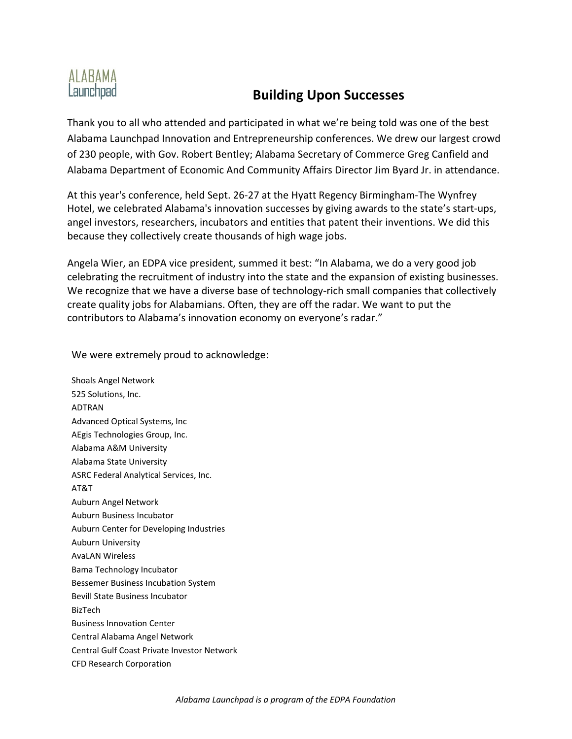## ALABAMA Launchpad

## **Building Upon Successes**

Thank you to all who attended and participated in what we're being told was one of the best Alabama Launchpad Innovation and Entrepreneurship conferences. We drew our largest crowd of 230 people, with Gov. Robert Bentley; Alabama Secretary of Commerce Greg Canfield and Alabama Department of Economic And Community Affairs Director Jim Byard Jr. in attendance.

At this year's conference, held Sept. 26‐27 at the Hyatt Regency Birmingham‐The Wynfrey Hotel, we celebrated Alabama's innovation successes by giving awards to the state's start‐ups, angel investors, researchers, incubators and entities that patent their inventions. We did this because they collectively create thousands of high wage jobs.

Angela Wier, an EDPA vice president, summed it best: "In Alabama, we do a very good job celebrating the recruitment of industry into the state and the expansion of existing businesses. We recognize that we have a diverse base of technology-rich small companies that collectively create quality jobs for Alabamians. Often, they are off the radar. We want to put the contributors to Alabama's innovation economy on everyone's radar."

We were extremely proud to acknowledge:

Shoals Angel Network 525 Solutions, Inc. ADTRAN Advanced Optical Systems, Inc AEgis Technologies Group, Inc. Alabama A&M University Alabama State University ASRC Federal Analytical Services, Inc. AT&T Auburn Angel Network Auburn Business Incubator Auburn Center for Developing Industries Auburn University AvaLAN Wireless Bama Technology Incubator Bessemer Business Incubation System Bevill State Business Incubator BizTech Business Innovation Center Central Alabama Angel Network Central Gulf Coast Private Investor Network CFD Research Corporation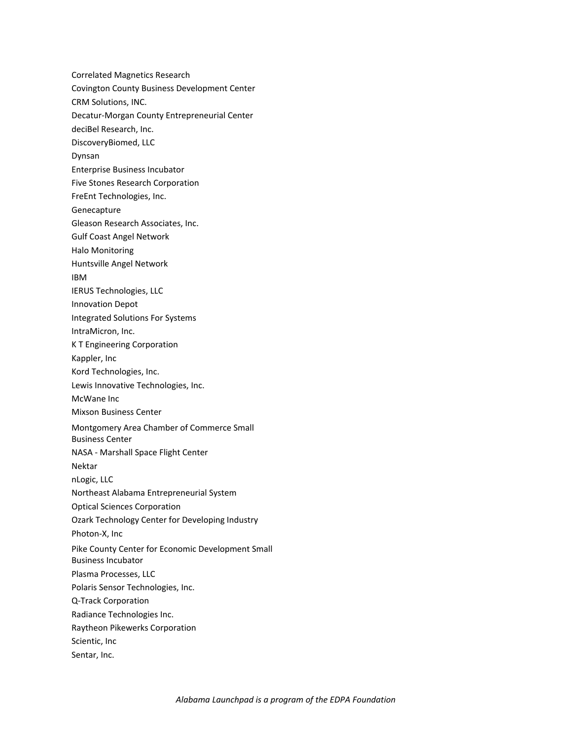Correlated Magnetics Research Covington County Business Development Center CRM Solutions, INC. Decatur‐Morgan County Entrepreneurial Center deciBel Research, Inc. DiscoveryBiomed, LLC Dynsan Enterprise Business Incubator Five Stones Research Corporation FreEnt Technologies, Inc. Genecapture Gleason Research Associates, Inc. Gulf Coast Angel Network Halo Monitoring Huntsville Angel Network IBM IERUS Technologies, LLC Innovation Depot Integrated Solutions For Systems IntraMicron, Inc. K T Engineering Corporation Kappler, Inc Kord Technologies, Inc. Lewis Innovative Technologies, Inc. McWane Inc Mixson Business Center Montgomery Area Chamber of Commerce Small Business Center NASA ‐ Marshall Space Flight Center Nektar nLogic, LLC Northeast Alabama Entrepreneurial System Optical Sciences Corporation Ozark Technology Center for Developing Industry Photon‐X, Inc Pike County Center for Economic Development Small Business Incubator Plasma Processes, LLC Polaris Sensor Technologies, Inc. Q‐Track Corporation Radiance Technologies Inc. Raytheon Pikewerks Corporation Scientic, Inc Sentar, Inc.